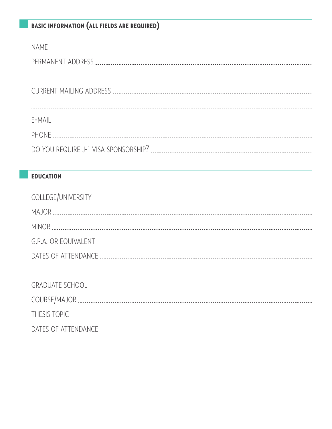## basic information (all fields are required)

## **EDUCATION**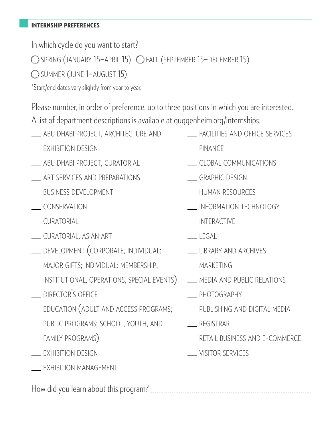#### internship preferences

In which cycle do you want to start?

spring (january 15–april 15) fall (september 15–december 15)

summer (june 1–august 15)

\*Start/end dates vary slightly from year to year.

Please number, in order of preference, up to three positions in which you are interested. A list of department descriptions is available at guggenheim.org/internships.

- **ABU DHABI PROJECT, ARCHITECTURE AND** exhibition design
- \_\_ ABU DHABI PROJECT, CURATORIAL
- art services and preparations
- business development
- conservation
- curatorial
- curatorial, asian art
- development (corporate, individual: major gifts; individual: membership, institutional, operations, special events)
- DIRECTOR'S OFFICE
- **EDUCATION (ADULT AND ACCESS PROGRAMS;** public programs; school, youth, and family programs)
- exhibition design

 $\overline{a}$ 

**EXHIBITION MANAGEMENT** 

How did you learn about this program?

- **EXACILITIES AND OFFICE SERVICES**
- finance
- CLOBAL COMMUNICATIONS
- **CORAPHIC DESIGN**
- **LEXALLE HUMAN RESOURCES**
- information technology
- interactive
- $LEGAI$
- LIBRARY AND ARCHIVES
- \_\_ MARKETING
- **MEDIA AND PUBLIC RELATIONS**
- photography
- **PUBLISHING AND DIGITAL MEDIA**
- retail business and e-commerce
- **WISITOR SERVICES**
- registrar
	-